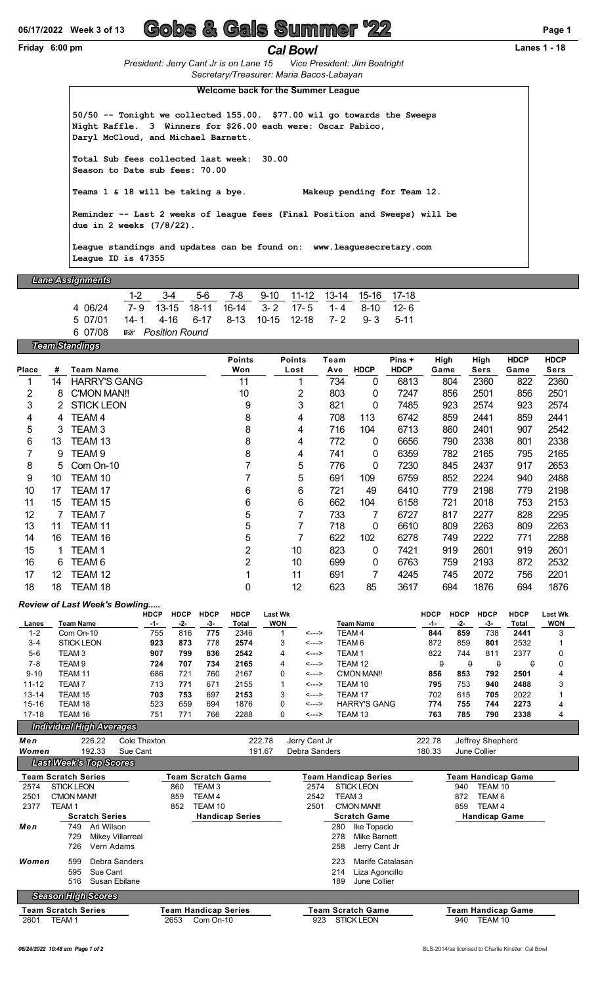# **06/17/2022 Week 3 of 13 Gobs & Gals Summer '22 Page 1**

#### **Friday 6:00 pm** *Cal Bowl* **Lanes 1 - 18**

*President: Jerry Cant Jr is on Lane 15 Vice President: Jim Boatright Secretary/Treasurer: Maria Bacos-Labayan*

**Welcome back for the Summer League**

**50/50 -- Tonight we collected 155.00. \$77.00 wil go towards the Sweeps Night Raffle. 3 Winners for \$26.00 each were: Oscar Pabico, Daryl McCloud, and Michael Barnett. Total Sub fees collected last week: 30.00**

**Season to Date sub fees: 70.00**

**Teams 1 & 18 will be taking a bye. Makeup pending for Team 12.**

**Reminder -- Last 2 weeks of league fees (Final Position and Sweeps) will be due in 2 weeks (7/8/22).**

**League standings and updates can be found on: <www.leaguesecretary.com> League ID is 47355**

#### *Lane Assignments*

1-2 3-4 5-6 7-8 9-10 11-12 13-14 15-16 17-18 4 06/24 7- 9 13-15 18-11 16-14 3- 2 17- 5 1- 4 8-10 12- 6 5 07/01 14- 1 4-16 6-17 8-13 10-15 12-18 7- 2 9- 3 5-11 6 07/08 { *Position Round*

*Team Standings*

|              |    | -                   |                |               |      |             |             |      |             |             |             |
|--------------|----|---------------------|----------------|---------------|------|-------------|-------------|------|-------------|-------------|-------------|
|              |    |                     | <b>Points</b>  | <b>Points</b> | Team |             | Pins +      | High | High        | <b>HDCP</b> | <b>HDCP</b> |
| <b>Place</b> | #  | <b>Team Name</b>    | Won            | Lost          | Ave  | <b>HDCP</b> | <b>HDCP</b> | Game | <b>Sers</b> | Game        | Sers        |
|              | 14 | <b>HARRY'S GANG</b> | 11             |               | 734  | 0           | 6813        | 804  | 2360        | 822         | 2360        |
| 2            | 8  | C'MON MAN!!         | 10             | 2             | 803  | 0           | 7247        | 856  | 2501        | 856         | 2501        |
| 3            | 2  | <b>STICK LEON</b>   | 9              | 3             | 821  | 0           | 7485        | 923  | 2574        | 923         | 2574        |
| 4            | 4  | TEAM <sub>4</sub>   | 8              | 4             | 708  | 113         | 6742        | 859  | 2441        | 859         | 2441        |
| 5            | 3  | TEAM <sub>3</sub>   | 8              | 4             | 716  | 104         | 6713        | 860  | 2401        | 907         | 2542        |
| 6            | 13 | TEAM 13             | 8              | 4             | 772  | 0           | 6656        | 790  | 2338        | 801         | 2338        |
| 7            | 9  | TEAM 9              | 8              | 4             | 741  | 0           | 6359        | 782  | 2165        | 795         | 2165        |
| 8            | 5  | Com On-10           |                | 5             | 776  | 0           | 7230        | 845  | 2437        | 917         | 2653        |
| 9            | 10 | TEAM 10             |                | 5             | 691  | 109         | 6759        | 852  | 2224        | 940         | 2488        |
| 10           | 17 | TEAM 17             | 6              | 6             | 721  | 49          | 6410        | 779  | 2198        | 779         | 2198        |
| 11           | 15 | TEAM 15             | 6              | 6             | 662  | 104         | 6158        | 721  | 2018        | 753         | 2153        |
| 12           |    | TEAM 7              | 5              | 7             | 733  | 7           | 6727        | 817  | 2277        | 828         | 2295        |
| 13           | 11 | TEAM 11             | 5              | 7             | 718  | 0           | 6610        | 809  | 2263        | 809         | 2263        |
| 14           | 16 | TEAM 16             | 5              | 7             | 622  | 102         | 6278        | 749  | 2222        | 771         | 2288        |
| 15           |    | TEAM 1              | 2              | 10            | 823  | 0           | 7421        | 919  | 2601        | 919         | 2601        |
| 16           | 6  | TEAM 6              | $\overline{2}$ | 10            | 699  | 0           | 6763        | 759  | 2193        | 872         | 2532        |
| 17           | 12 | TEAM 12             |                | 11            | 691  | 7           | 4245        | 745  | 2072        | 756         | 2201        |
| 18           | 18 | TEAM 18             | 0              | 12            | 623  | 85          | 3617        | 694  | 1876        | 694         | 1876        |

#### *Review of Last Week's Bowling.....*

|           | Review of Last Week's Bowllig |             |             |             |             |            |       |                     |             |             |             |             |                |
|-----------|-------------------------------|-------------|-------------|-------------|-------------|------------|-------|---------------------|-------------|-------------|-------------|-------------|----------------|
|           |                               | <b>HDCP</b> | <b>HDCP</b> | <b>HDCP</b> | <b>HDCP</b> | Last Wk    |       |                     | <b>HDCP</b> | <b>HDCP</b> | <b>HDCP</b> | <b>HDCP</b> | <b>Last Wk</b> |
| Lanes     | Team Name                     | -1-         | -2-         | -3-         | Total       | <b>WON</b> |       | <b>Team Name</b>    | -1-         | -2-         | -3-         | Total       | <b>WON</b>     |
| $1 - 2$   | Com On-10                     | 755         | 816         | 775         | 2346        |            | <---> | TEAM 4              | 844         | 859         | 738         | 2441        |                |
| $3 - 4$   | <b>STICK LEON</b>             | 923         | 873         | 778         | 2574        | 3          | <---> | TEAM 6              | 872         | 859         | 801         | 2532        |                |
| $5-6$     | TEAM 3                        | 907         | 799         | 836         | 2542        | 4          | <---> | TEAM <sub>1</sub>   | 822         | 744         | 811         | 2377        |                |
| 7-8       | TEAM 9                        | 724         | 707         | 734         | 2165        | 4          | <---> | TEAM 12             |             | $\theta$    | Q           |             |                |
| $9 - 10$  | TEAM 11                       | 686         | 721         | 760         | 2167        | 0          | <---> | C'MON MAN!!         | 856         | 853         | 792         | 2501        |                |
| $11 - 12$ | TEAM 7                        | 713         | 771         | 671         | 2155        |            | <---> | TEAM 10             | 795         | 753         | 940         | 2488        |                |
| $13 - 14$ | TEAM 15                       | 703         | 753         | 697         | 2153        | 3          | <---> | TEAM 17             | 702         | 615         | 705         | 2022        |                |
| $15 - 16$ | TEAM 18                       | 523         | 659         | 694         | 1876        |            | <---> | <b>HARRY'S GANG</b> | 774         | 755         | 744         | 2273        | 4              |
| $17 - 18$ | TEAM 16                       | 751         | 771         | 766         | 2288        | 0          | <---> | TEAM 13             | 763         | 785         | 790         | 2338        |                |

### *Individual High Averages*

| Men   |                               | 226.22                  | Cole Thaxton  |      | 222.78                 | Jerry Cant Jr |     |                             | 222.78 |     | Jeffrey Shepherd     |  |
|-------|-------------------------------|-------------------------|---------------|------|------------------------|---------------|-----|-----------------------------|--------|-----|----------------------|--|
| Women |                               | 192.33                  | Sue Cant      |      | 191.67                 | Debra Sanders |     |                             | 180.33 |     | June Collier         |  |
|       | <b>Last Week's Top Scores</b> |                         |               |      |                        |               |     |                             |        |     |                      |  |
|       | <b>Team Scratch Series</b>    |                         |               |      | Team Scratch Game      |               |     | <b>Team Handicap Series</b> |        |     | Team Handicap Game   |  |
| 2574  | <b>STICK LEON</b>             |                         |               | 860  | TEAM 3                 | 2574          |     | <b>STICK LEON</b>           |        | 940 | TEAM 10              |  |
| 2501  | C'MON MAN!!                   |                         |               | 859  | TEAM 4                 | 2542          |     | TEAM 3                      |        | 872 | TEAM 6               |  |
| 2377  | TEAM 1                        |                         |               | 852  | TEAM 10                | 2501          |     | C'MON MAN!!                 |        | 859 | TEAM 4               |  |
|       |                               | <b>Scratch Series</b>   |               |      | <b>Handicap Series</b> |               |     | <b>Scratch Game</b>         |        |     | <b>Handicap Game</b> |  |
| Men   | 749                           | Ari Wilson              |               |      |                        |               | 280 | Ike Topacio                 |        |     |                      |  |
|       | 729                           | <b>Mikey Villarreal</b> |               |      |                        |               | 278 | Mike Barnett                |        |     |                      |  |
|       | 726                           | Vern Adams              |               |      |                        |               | 258 | Jerry Cant Jr               |        |     |                      |  |
| Women | 599                           |                         | Debra Sanders |      |                        |               | 223 | Marife Catalasan            |        |     |                      |  |
|       | 595                           | Sue Cant                |               |      |                        |               | 214 | Liza Agoncillo              |        |     |                      |  |
|       | 516                           | Susan Ebilane           |               |      |                        |               | 189 | June Collier                |        |     |                      |  |
|       | <b>Season High Scores</b>     |                         |               |      |                        |               |     |                             |        |     |                      |  |
|       | <b>Team Scratch Series</b>    |                         |               |      | Team Handicap Series   |               |     | Team Scratch Game           |        |     | Team Handicap Game   |  |
| 2601  | TEAM 1                        |                         |               | 2653 | Com On-10              | 923           |     | <b>STICK LEON</b>           |        | 940 | TEAM 10              |  |